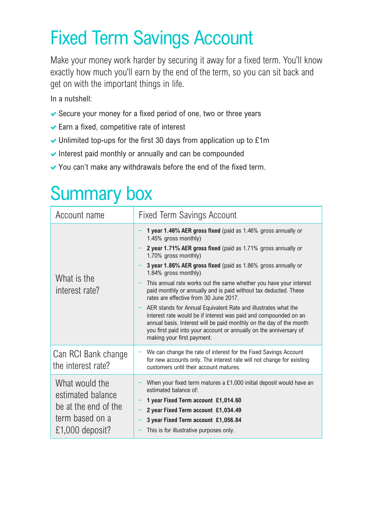## Fixed Term Savings Account

Make your money work harder by securing it away for a fixed term. You'll know exactly how much you'll earn by the end of the term, so you can sit back and get on with the important things in life.

In a nutshell:

- $\blacktriangleright$  Secure your money for a fixed period of one, two or three years
- $\blacktriangleright$  Earn a fixed, competitive rate of interest
- $\blacktriangleright$  Unlimited top-ups for the first 30 days from application up to £1m
- $\vee$  Interest paid monthly or annually and can be compounded
- $\vee$  You can't make any withdrawals before the end of the fixed term.

## Summary box

| Account name                                                                                      | <b>Fixed Term Savings Account</b>                                                                                                                                                                                                                                                                                                                                                                                                                                                                                                                                                                                                                                                                                                                                              |
|---------------------------------------------------------------------------------------------------|--------------------------------------------------------------------------------------------------------------------------------------------------------------------------------------------------------------------------------------------------------------------------------------------------------------------------------------------------------------------------------------------------------------------------------------------------------------------------------------------------------------------------------------------------------------------------------------------------------------------------------------------------------------------------------------------------------------------------------------------------------------------------------|
| What is the<br>interest rate?                                                                     | 1 year 1.46% AER gross fixed (paid as 1.46% gross annually or<br>1.45% gross monthly)<br>2 year 1.71% AER gross fixed (paid as 1.71% gross annually or<br>1.70% gross monthly)<br>3 year 1.86% AER gross fixed (paid as 1.86% gross annually or<br>1.84% gross monthly)<br>This annual rate works out the same whether you have your interest<br>paid monthly or annually and is paid without tax deducted. These<br>rates are effective from 30 June 2017.<br>- AER stands for Annual Equivalent Rate and illustrates what the<br>interest rate would be if interest was paid and compounded on an<br>annual basis. Interest will be paid monthly on the day of the month<br>you first paid into your account or annually on the anniversary of<br>making your first payment. |
| Can RCI Bank change<br>the interest rate?                                                         | We can change the rate of interest for the Fixed Savings Account<br>for new accounts only. The interest rate will not change for existing<br>customers until their account matures.                                                                                                                                                                                                                                                                                                                                                                                                                                                                                                                                                                                            |
| What would the<br>estimated balance<br>be at the end of the<br>term based on a<br>£1,000 deposit? | When your fixed term matures a £1,000 initial deposit would have an<br>estimated balance of:<br>1 year Fixed Term account £1,014.60<br>2 year Fixed Term account £1,034.49<br>3 year Fixed Term account £1,056.84<br>This is for illustrative purposes only.                                                                                                                                                                                                                                                                                                                                                                                                                                                                                                                   |